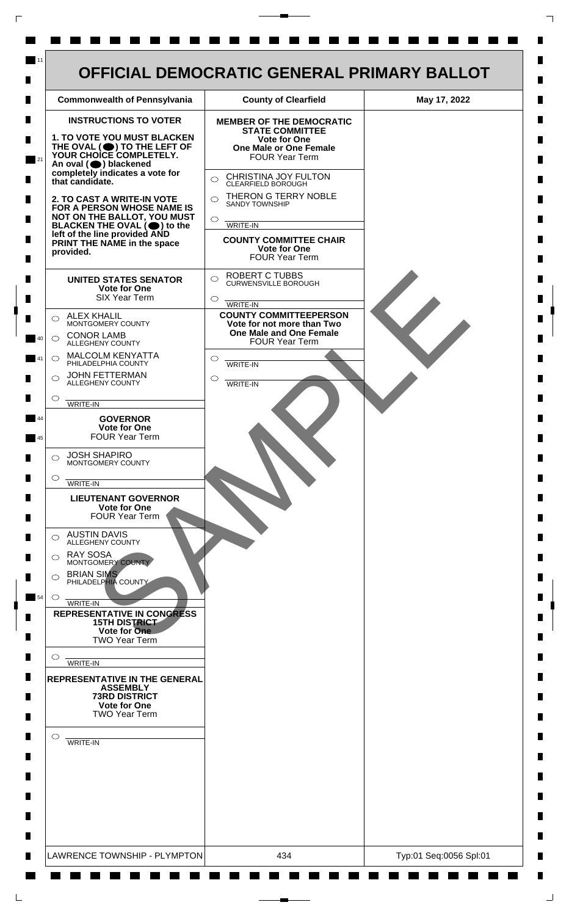| <b>Commonwealth of Pennsylvania</b>                                                                                                              | <b>County of Clearfield</b>                                                           | May 17, 2022 |
|--------------------------------------------------------------------------------------------------------------------------------------------------|---------------------------------------------------------------------------------------|--------------|
| <b>INSTRUCTIONS TO VOTER</b>                                                                                                                     | <b>MEMBER OF THE DEMOCRATIC</b><br><b>STATE COMMITTEE</b>                             |              |
| 1. TO VOTE YOU MUST BLACKEN<br>THE OVAL (O) TO THE LEFT OF YOUR CHOICE COMPLETELY.<br>An oval (O) blackened                                      | <b>Vote for One</b><br><b>One Male or One Female</b><br><b>FOUR Year Term</b>         |              |
| completely indicates a vote for<br>that candidate.                                                                                               | CHRISTINA JOY FULTON<br>$\bigcirc$<br>CLEARFIELD BOROUGH                              |              |
| 2. TO CAST A WRITE-IN VOTE<br>FOR A PERSON WHOSE NAME IS                                                                                         | THERON G TERRY NOBLE<br>$\bigcap$<br><b>SANDY TOWNSHIP</b>                            |              |
| NOT ON THE BALLOT, YOU MUST<br>BLACKEN THE OVAL $(\bigcirc)$ to the<br>left of the line provided AND<br>PRINT THE NAME in the space<br>provided. | $\bigcirc$<br>WRITE-IN                                                                |              |
|                                                                                                                                                  | <b>COUNTY COMMITTEE CHAIR</b><br>Vote for One<br>FOUR Year Term                       |              |
| <b>UNITED STATES SENATOR</b><br>Vote for One<br><b>SIX Year Term</b>                                                                             | <b>ROBERT C TUBBS</b><br>$\bigcirc$<br><b>CURWENSVILLE BOROUGH</b><br>$\circ$         |              |
| <b>ALEX KHALIL</b><br>$\bigcirc$                                                                                                                 | WRITE-IN<br><b>COUNTY COMMITTEEPERSON</b>                                             |              |
| MONTGOMERY COUNTY<br><b>CONOR LAMB</b><br>$\bigcirc$<br>ALLEGHENY COUNTY                                                                         | Vote for not more than Two<br><b>One Male and One Female</b><br><b>FOUR Year Term</b> |              |
| <b>MALCOLM KENYATTA</b><br>$\circ$<br>PHILADELPHIA COUNTY                                                                                        | $\circ$<br><b>WRITE-IN</b>                                                            |              |
| <b>JOHN FETTERMAN</b><br>$\bigcirc$<br>ALLEGHENY COUNTY                                                                                          | O<br><b>WRITE-IN</b>                                                                  |              |
| $\circ$<br><b>WRITE-IN</b><br><b>GOVERNOR</b>                                                                                                    |                                                                                       |              |
| <b>Vote for One</b><br><b>FOUR Year Term</b>                                                                                                     |                                                                                       |              |
| <b>JOSH SHAPIRO</b><br>$\bigcirc$<br>MONTGOMERY COUNTY                                                                                           |                                                                                       |              |
| $\circ$<br><b>WRITE-IN</b>                                                                                                                       |                                                                                       |              |
| <b>LIEUTENANT GOVERNOR</b><br><b>Vote for One</b><br><b>FOUR Year Term</b>                                                                       |                                                                                       |              |
| <b>AUSTIN DAVIS</b><br>◯<br>ALLEGHENY COUNTY                                                                                                     |                                                                                       |              |
| <b>RAY SOSA</b><br>$\bigcirc$<br>MONTGOMERY COUNTY<br><b>BRIAN SIMS</b>                                                                          |                                                                                       |              |
| $\circ$<br>PHILADELPHIA COUNTY<br>$\circ$                                                                                                        |                                                                                       |              |
| WRITE-IN<br><b>REPRESENTATIVE IN CONGRESS</b><br><b>15TH DISTRICT</b><br>Vote for One                                                            |                                                                                       |              |
| <b>TWO Year Term</b><br>$\circ$                                                                                                                  |                                                                                       |              |
| WRITE-IN<br>REPRESENTATIVE IN THE GENERAL<br><b>ASSEMBLY</b><br><b>73RD DISTRICT</b>                                                             |                                                                                       |              |
| <b>Vote for One</b><br><b>TWO Year Term</b>                                                                                                      |                                                                                       |              |
| $\circ$<br><b>WRITE-IN</b>                                                                                                                       |                                                                                       |              |
|                                                                                                                                                  |                                                                                       |              |
|                                                                                                                                                  |                                                                                       |              |
|                                                                                                                                                  |                                                                                       |              |

 $\Gamma$ 

 $\Box$ 

 $\overline{\phantom{a}}$